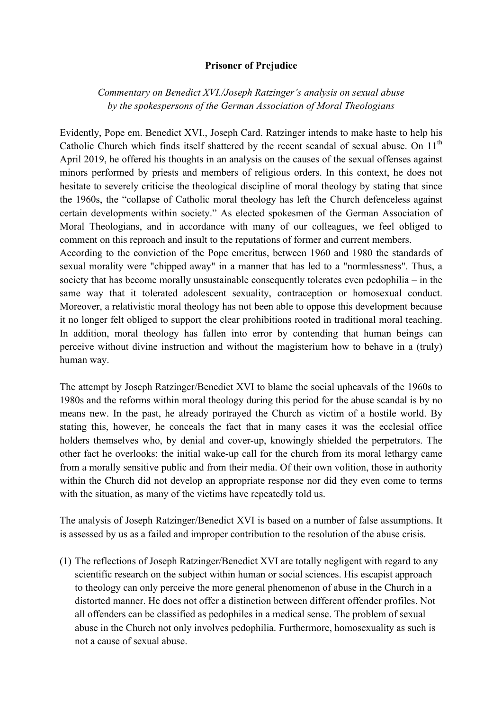## **Prisoner of Prejudice**

*Commentary on Benedict XVI./Joseph Ratzinger's analysis on sexual abuse by the spokespersons of the German Association of Moral Theologians*

Evidently, Pope em. Benedict XVI., Joseph Card. Ratzinger intends to make haste to help his Catholic Church which finds itself shattered by the recent scandal of sexual abuse. On  $11<sup>th</sup>$ April 2019, he offered his thoughts in an analysis on the causes of the sexual offenses against minors performed by priests and members of religious orders. In this context, he does not hesitate to severely criticise the theological discipline of moral theology by stating that since the 1960s, the "collapse of Catholic moral theology has left the Church defenceless against certain developments within society." As elected spokesmen of the German Association of Moral Theologians, and in accordance with many of our colleagues, we feel obliged to comment on this reproach and insult to the reputations of former and current members.

According to the conviction of the Pope emeritus, between 1960 and 1980 the standards of sexual morality were "chipped away" in a manner that has led to a "normlessness". Thus, a society that has become morally unsustainable consequently tolerates even pedophilia – in the same way that it tolerated adolescent sexuality, contraception or homosexual conduct. Moreover, a relativistic moral theology has not been able to oppose this development because it no longer felt obliged to support the clear prohibitions rooted in traditional moral teaching. In addition, moral theology has fallen into error by contending that human beings can perceive without divine instruction and without the magisterium how to behave in a (truly) human way.

The attempt by Joseph Ratzinger/Benedict XVI to blame the social upheavals of the 1960s to 1980s and the reforms within moral theology during this period for the abuse scandal is by no means new. In the past, he already portrayed the Church as victim of a hostile world. By stating this, however, he conceals the fact that in many cases it was the ecclesial office holders themselves who, by denial and cover-up, knowingly shielded the perpetrators. The other fact he overlooks: the initial wake-up call for the church from its moral lethargy came from a morally sensitive public and from their media. Of their own volition, those in authority within the Church did not develop an appropriate response nor did they even come to terms with the situation, as many of the victims have repeatedly told us.

The analysis of Joseph Ratzinger/Benedict XVI is based on a number of false assumptions. It is assessed by us as a failed and improper contribution to the resolution of the abuse crisis.

(1) The reflections of Joseph Ratzinger/Benedict XVI are totally negligent with regard to any scientific research on the subject within human or social sciences. His escapist approach to theology can only perceive the more general phenomenon of abuse in the Church in a distorted manner. He does not offer a distinction between different offender profiles. Not all offenders can be classified as pedophiles in a medical sense. The problem of sexual abuse in the Church not only involves pedophilia. Furthermore, homosexuality as such is not a cause of sexual abuse.